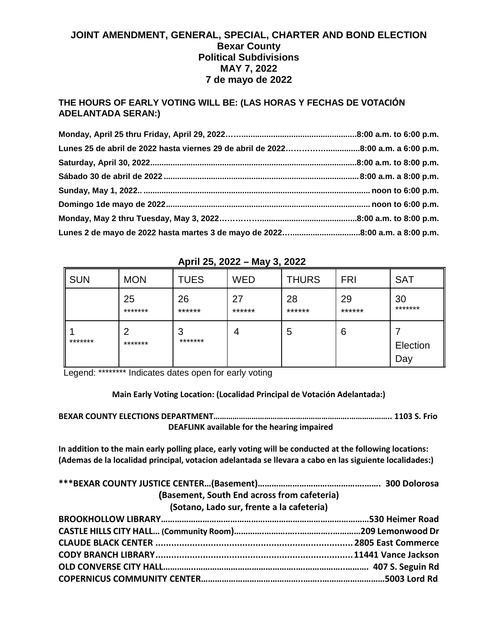## **JOINT AMENDMENT, GENERAL, SPECIAL, CHARTER AND BOND ELECTION Bexar County Political Subdivisions MAY 7, 2022 7 de mayo de 2022**

## **THE HOURS OF EARLY VOTING WILL BE: (LAS HORAS Y FECHAS DE VOTACIÓN ADELANTADA SERAN:)**

| Lunes 25 de abril de 2022 hasta viernes 29 de abril de 20228:00 a.m. a 6:00 p.m. |  |
|----------------------------------------------------------------------------------|--|
|                                                                                  |  |
|                                                                                  |  |
|                                                                                  |  |
|                                                                                  |  |
|                                                                                  |  |
|                                                                                  |  |

| <b>SUN</b> | <b>MON</b>                | <b>TUES</b>  | <b>WED</b>   | <b>THURS</b> | <b>FRI</b>   | <b>SAT</b>      |
|------------|---------------------------|--------------|--------------|--------------|--------------|-----------------|
|            | 25<br>*******             | 26<br>****** | 27<br>****** | 28<br>****** | 29<br>****** | 30<br>*******   |
| *******    | $\overline{2}$<br>******* | 3<br>******* | 4            | 5            | 6            | Election<br>Day |

## **April 25, 2022 – May 3, 2022**

Legend: \*\*\*\*\*\*\*\* Indicates dates open for early voting

**Main Early Voting Location: (Localidad Principal de Votación Adelantada:)**

**BEXAR COUNTY ELECTIONS DEPARTMENT……………………………………………………….……………….. 1103 S. Frio DEAFLINK available for the hearing impaired**

**In addition to the main early polling place, early voting will be conducted at the following locations: (Ademas de la localidad principal, votacion adelantada se llevara a cabo en las siguiente localidades:)**

| (Basement, South End across from cafeteria) |  |  |  |  |
|---------------------------------------------|--|--|--|--|
| (Sotano, Lado sur, frente a la cafeteria)   |  |  |  |  |
|                                             |  |  |  |  |
|                                             |  |  |  |  |
|                                             |  |  |  |  |
|                                             |  |  |  |  |
|                                             |  |  |  |  |
|                                             |  |  |  |  |